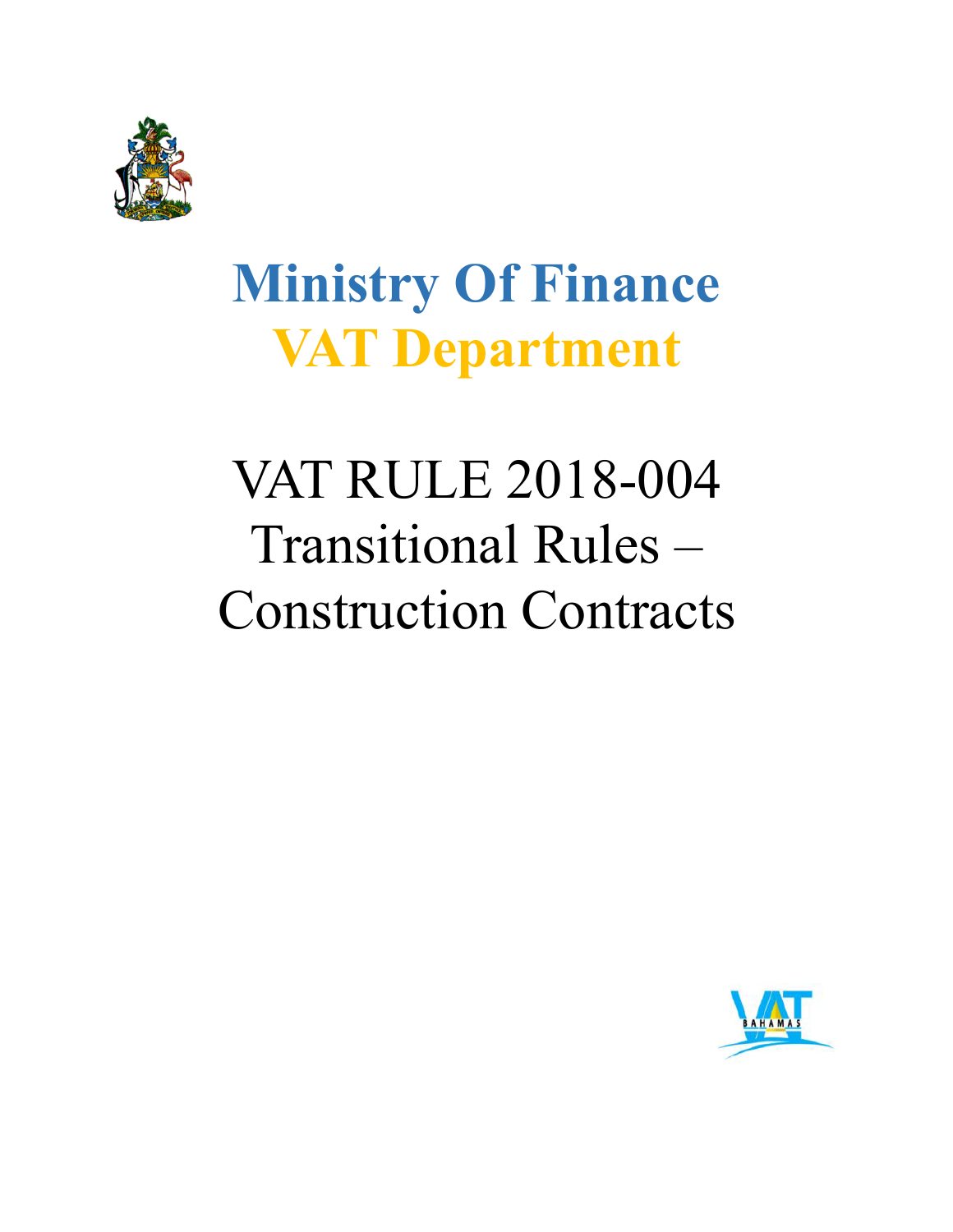

## **Ministry Of Finance VAT Department**

# VAT RULE 2018-004 Transitional Rules – Construction Contracts

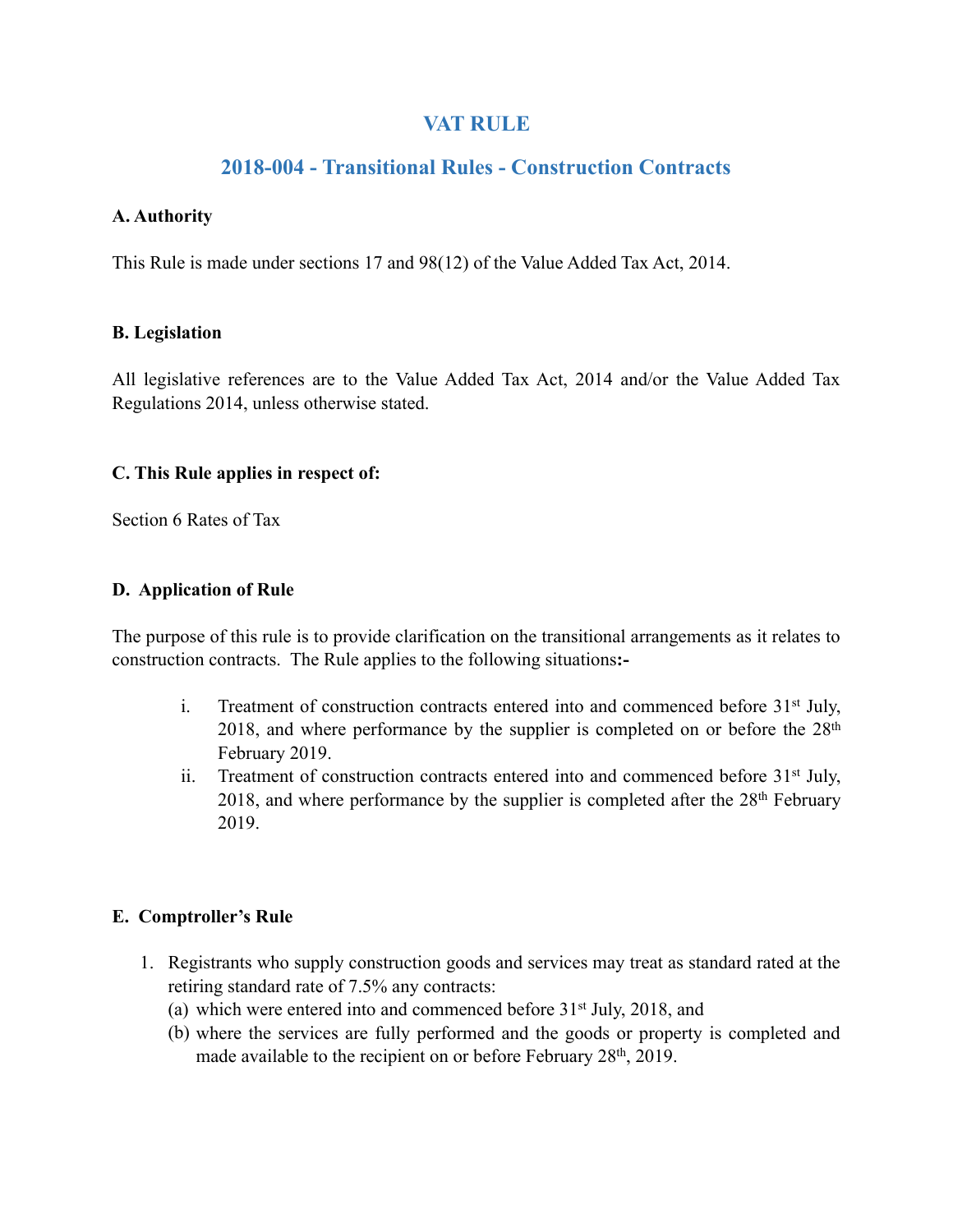## **VAT RULE**

## **2018-004 - Transitional Rules - Construction Contracts**

#### **A. Authority**

This Rule is made under sections 17 and 98(12) of the Value Added Tax Act, 2014.

#### **B. Legislation**

All legislative references are to the Value Added Tax Act, 2014 and/or the Value Added Tax Regulations 2014, unless otherwise stated.

#### **C. This Rule applies in respect of:**

Section 6 Rates of Tax

#### **D. Application of Rule**

The purpose of this rule is to provide clarification on the transitional arrangements as it relates to construction contracts. The Rule applies to the following situations**:-** 

- i. Treatment of construction contracts entered into and commenced before 31st July, 2018, and where performance by the supplier is completed on or before the  $28<sup>th</sup>$ February 2019.
- ii. Treatment of construction contracts entered into and commenced before 31<sup>st</sup> July, 2018, and where performance by the supplier is completed after the 28<sup>th</sup> February 2019.

#### **E. Comptroller's Rule**

- 1. Registrants who supply construction goods and services may treat as standard rated at the retiring standard rate of 7.5% any contracts:
	- (a) which were entered into and commenced before 31st July, 2018, and
	- (b) where the services are fully performed and the goods or property is completed and made available to the recipient on or before February 28th, 2019.